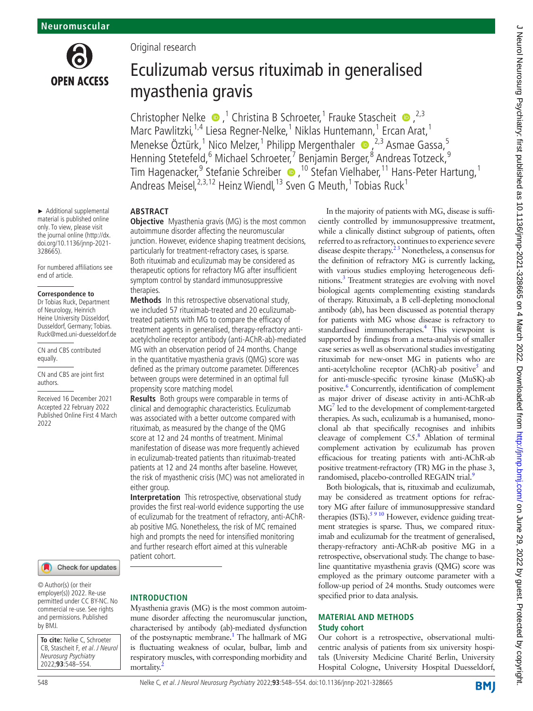

► Additional supplemental material is published online only. To view, please visit the journal online [\(http://dx.](http://dx.doi.org/10.1136/jnnp-2021-328665) [doi.org/10.1136/jnnp-2021-](http://dx.doi.org/10.1136/jnnp-2021-328665) [328665](http://dx.doi.org/10.1136/jnnp-2021-328665)).

For numbered affiliations see end of article.

#### **Correspondence to**

Dr Tobias Ruck, Department of Neurology, Heinrich Heine University Düsseldorf, Dusseldorf, Germany; Tobias. Ruck@med.uni-duesseldorf.de

CN and CBS contributed equally.

CN and CBS are joint first authors.

Received 16 December 2021 Accepted 22 February 2022 Published Online First 4 March 2022



© Author(s) (or their employer(s)) 2022. Re-use permitted under CC BY-NC. No commercial re-use. See rights and permissions. Published by BMJ.

**To cite:** Nelke C, Schroeter CB, Stascheit F, et al. J Neurol Neurosurg Psychiatry 2022;**93**:548–554.

Original research

# Eculizumab versus rituximab in generalised myasthenia gravis

Christopher Nelke  $\bullet$ ,<sup>1</sup> Christina B Schroeter,<sup>1</sup> Frauke Stascheit  $\bullet$ , <sup>2,3</sup> Marc Pawlitzki,<sup>1,4</sup> Liesa Regner-Nelke,<sup>1</sup> Niklas Huntemann,<sup>1</sup> Ercan Arat,<sup>1</sup> Menekse Öztürk,<sup>1</sup> Nico Melzer,<sup>1</sup> Philipp Mergenthaler (D, <sup>2,3</sup> Asmae Gassa,<sup>5</sup> Henning Stetefeld, <sup>6</sup> Michael Schroeter, <sup>7</sup> Benjamin Berger, <sup>8</sup> Andreas Totzeck, <sup>9</sup> TimHagenacker,<sup>9</sup> Stefanie Schreiber (D, <sup>10</sup> Stefan Vielhaber, 11 Hans-Peter Hartung, 1 Andreas Meisel,  $^{2,3,12}$  Heinz Wiendl,  $^{13}$  Sven G Meuth,  $^{1}$  Tobias Ruck $^{1}$ 

## **ABSTRACT**

**Objective** Myasthenia gravis (MG) is the most common autoimmune disorder affecting the neuromuscular junction. However, evidence shaping treatment decisions, particularly for treatment-refractory cases, is sparse. Both rituximab and eculizumab may be considered as therapeutic options for refractory MG after insufficient symptom control by standard immunosuppressive therapies.

**Methods** In this retrospective observational study, we included 57 rituximab-treated and 20 eculizumabtreated patients with MG to compare the efficacy of treatment agents in generalised, therapy-refractory antiacetylcholine receptor antibody (anti-AChR-ab)-mediated MG with an observation period of 24 months. Change in the quantitative myasthenia gravis (QMG) score was defined as the primary outcome parameter. Differences between groups were determined in an optimal full propensity score matching model.

**Results** Both groups were comparable in terms of clinical and demographic characteristics. Eculizumab was associated with a better outcome compared with rituximab, as measured by the change of the QMG score at 12 and 24 months of treatment. Minimal manifestation of disease was more frequently achieved in eculizumab-treated patients than rituximab-treated patients at 12 and 24 months after baseline. However, the risk of myasthenic crisis (MC) was not ameliorated in either group.

**Interpretation** This retrospective, observational study provides the first real-world evidence supporting the use of eculizumab for the treatment of refractory, anti-AChRab positive MG. Nonetheless, the risk of MC remained high and prompts the need for intensified monitoring and further research effort aimed at this vulnerable patient cohort.

## **INTRODUCTION**

Myasthenia gravis (MG) is the most common autoimmune disorder affecting the neuromuscular junction, characterised by antibody (ab)-mediated dysfunction of the postsynaptic membrane.<sup>1</sup> The hallmark of MG is fluctuating weakness of ocular, bulbar, limb and respiratory muscles, with corresponding morbidity and mortality.

In the majority of patients with MG, disease is sufficiently controlled by immunosuppressive treatment, while a clinically distinct subgroup of patients, often referred to as refractory, continues to experience severe disease despite therapy.<sup>23</sup> Nonetheless, a consensus for the definition of refractory MG is currently lacking, with various studies employing heterogeneous definitions[.3](#page-6-2) Treatment strategies are evolving with novel biological agents complementing existing standards of therapy. Rituximab, a B cell-depleting monoclonal antibody (ab), has been discussed as potential therapy for patients with MG whose disease is refractory to standardised immunotherapies.<sup>4</sup> This viewpoint is supported by findings from a meta-analysis of smaller case series as well as observational studies investigating rituximab for new-onset MG in patients who are anti-acetylcholine receptor (AChR)-ab positive<sup>5</sup> and for anti-muscle-specific tyrosine kinase (MuSK)-ab positive.<sup>6</sup> Concurrently, identification of complement as major driver of disease activity in anti-AChR-ab M[G7](#page-6-6) led to the development of complement-targeted therapies. As such, eculizumab is a humanised, monoclonal ab that specifically recognises and inhibits cleavage of complement C5.<sup>[8](#page-6-7)</sup> Ablation of terminal complement activation by eculizumab has proven efficacious for treating patients with anti-AChR-ab positive treatment-refractory (TR) MG in the phase 3, randomised, placebo-controlled REGAIN trial.<sup>[9](#page-6-8)</sup>

Both biologicals, that is, rituximab and eculizumab, may be considered as treatment options for refractory MG after failure of immunosuppressive standard therapies  $(ISTs)$ .<sup>5 9 10</sup> However, evidence guiding treatment strategies is sparse. Thus, we compared rituximab and eculizumab for the treatment of generalised, therapy-refractory anti-AChR-ab positive MG in a retrospective, observational study. The change to baseline quantitative myasthenia gravis (QMG) score was employed as the primary outcome parameter with a follow-up period of 24 months. Study outcomes were specified prior to data analysis.

## **MATERIAL AND METHODS Study cohort**

Our cohort is a retrospective, observational multicentric analysis of patients from six university hospitals (University Medicine Charité Berlin, University Hospital Cologne, University Hospital Duesseldorf,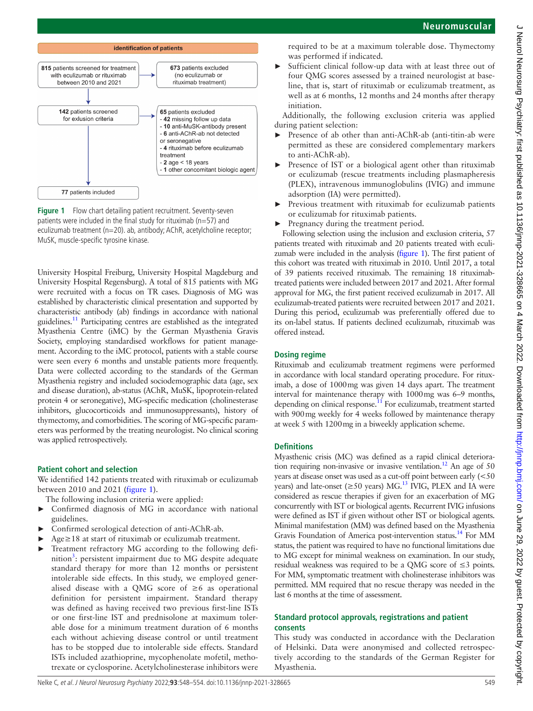

<span id="page-1-0"></span>**Figure 1** Flow chart detailing patient recruitment. Seventy-seven patients were included in the final study for rituximab ( $n=57$ ) and eculizumab treatment (n=20). ab, antibody; AChR, acetylcholine receptor; MuSK, muscle-specific tyrosine kinase.

University Hospital Freiburg, University Hospital Magdeburg and University Hospital Regensburg). A total of 815 patients with MG were recruited with a focus on TR cases. Diagnosis of MG was established by characteristic clinical presentation and supported by characteristic antibody (ab) findings in accordance with national guidelines[.11](#page-6-9) Participating centres are established as the integrated Myasthenia Centre (iMC) by the German Myasthenia Gravis Society, employing standardised workflows for patient management. According to the iMC protocol, patients with a stable course were seen every 6 months and unstable patients more frequently. Data were collected according to the standards of the German Myasthenia registry and included sociodemographic data (age, sex and disease duration), ab-status (AChR, MuSK, lipoprotein-related protein 4 or seronegative), MG-specific medication (cholinesterase inhibitors, glucocorticoids and immunosuppressants), history of thymectomy, and comorbidities. The scoring of MG-specific parameters was performed by the treating neurologist. No clinical scoring was applied retrospectively.

## **Patient cohort and selection**

We identified 142 patients treated with rituximab or eculizumab between 2010 and 2021 [\(figure](#page-1-0) 1).

- The following inclusion criteria were applied:
- Confirmed diagnosis of MG in accordance with national guidelines.
- ► Confirmed serological detection of anti-AChR-ab.
- Age≥18 at start of rituximab or eculizumab treatment.
- Treatment refractory MG according to the following defi-nition<sup>[3](#page-6-2)</sup>: persistent impairment due to MG despite adequate standard therapy for more than 12 months or persistent intolerable side effects. In this study, we employed generalised disease with a QMG score of  $\geq 6$  as operational definition for persistent impairment. Standard therapy was defined as having received two previous first-line ISTs or one first-line IST and prednisolone at maximum tolerable dose for a minimum treatment duration of 6 months each without achieving disease control or until treatment has to be stopped due to intolerable side effects. Standard ISTs included azathioprine, mycophenolate mofetil, methotrexate or cyclosporine. Acetylcholinesterase inhibitors were

required to be at a maximum tolerable dose. Thymectomy was performed if indicated.

Sufficient clinical follow-up data with at least three out of four QMG scores assessed by a trained neurologist at baseline, that is, start of rituximab or eculizumab treatment, as well as at 6 months, 12 months and 24 months after therapy initiation.

Additionally, the following exclusion criteria was applied during patient selection:

- Presence of ab other than anti-AChR-ab (anti-titin-ab were permitted as these are considered complementary markers to anti-AChR-ab).
- Presence of IST or a biological agent other than rituximab or eculizumab (rescue treatments including plasmapheresis (PLEX), intravenous immunoglobulins (IVIG) and immune adsorption (IA) were permitted).
- ► Previous treatment with rituximab for eculizumab patients or eculizumab for rituximab patients.
- Pregnancy during the treatment period.

Following selection using the inclusion and exclusion criteria, 57 patients treated with rituximab and 20 patients treated with eculizumab were included in the analysis [\(figure](#page-1-0) 1). The first patient of this cohort was treated with rituximab in 2010. Until 2017, a total of 39 patients received rituximab. The remaining 18 rituximabtreated patients were included between 2017 and 2021. After formal approval for MG, the first patient received eculizumab in 2017. All eculizumab-treated patients were recruited between 2017 and 2021. During this period, eculizumab was preferentially offered due to its on-label status. If patients declined eculizumab, rituximab was offered instead.

## **Dosing regime**

Rituximab and eculizumab treatment regimens were performed in accordance with local standard operating procedure. For rituximab, a dose of 1000mg was given 14 days apart. The treatment interval for maintenance therapy with 1000mg was 6–9 months, depending on clinical response. $11$  For eculizumab, treatment started with 900mg weekly for 4 weeks followed by maintenance therapy at week 5 with 1200mg in a biweekly application scheme.

## **Definitions**

Myasthenic crisis (MC) was defined as a rapid clinical deterioration requiring non-invasive or invasive ventilation.<sup>12</sup> An age of 50 years at disease onset was used as a cut-off point between early (<50 years) and late-onset ( $\geq$ 50 years) MG.<sup>13</sup> IVIG, PLEX and IA were considered as rescue therapies if given for an exacerbation of MG concurrently with IST or biological agents. Recurrent IVIG infusions were defined as IST if given without other IST or biological agents. Minimal manifestation (MM) was defined based on the Myasthenia Gravis Foundation of America post-intervention status.[14](#page-6-12) For MM status, the patient was required to have no functional limitations due to MG except for minimal weakness on examination. In our study, residual weakness was required to be a QMG score of ≤3 points. For MM, symptomatic treatment with cholinesterase inhibitors was permitted. MM required that no rescue therapy was needed in the last 6 months at the time of assessment.

## **Standard protocol approvals, registrations and patient consents**

This study was conducted in accordance with the Declaration of Helsinki. Data were anonymised and collected retrospectively according to the standards of the German Register for Myasthenia.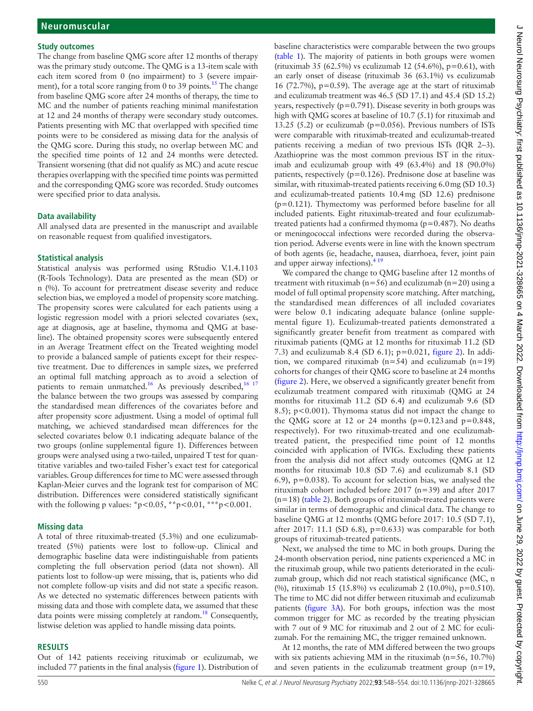#### **Study outcomes**

The change from baseline QMG score after 12 months of therapy was the primary study outcome. The QMG is a 13-item scale with each item scored from 0 (no impairment) to 3 (severe impairment), for a total score ranging from 0 to 39 points.<sup>15</sup> The change from baseline QMG score after 24 months of therapy, the time to MC and the number of patients reaching minimal manifestation at 12 and 24 months of therapy were secondary study outcomes. Patients presenting with MC that overlapped with specified time points were to be considered as missing data for the analysis of the QMG score. During this study, no overlap between MC and the specified time points of 12 and 24 months were detected. Transient worsening (that did not qualify as MC) and acute rescue therapies overlapping with the specified time points was permitted and the corresponding QMG score was recorded. Study outcomes were specified prior to data analysis.

## **Data availability**

All analysed data are presented in the manuscript and available on reasonable request from qualified investigators.

### **Statistical analysis**

Statistical analysis was performed using RStudio V.1.4.1103 (R-Tools Technology). Data are presented as the mean (SD) or n (%). To account for pretreatment disease severity and reduce selection bias, we employed a model of propensity score matching. The propensity scores were calculated for each patients using a logistic regression model with a priori selected covariates (sex, age at diagnosis, age at baseline, thymoma and QMG at baseline). The obtained propensity scores were subsequently entered in an Average Treatment effect on the Treated weighting model to provide a balanced sample of patients except for their respective treatment. Due to differences in sample sizes, we preferred an optimal full matching approach as to avoid a selection of patients to remain unmatched.<sup>[16](#page-6-14)</sup> As previously described,  $16\frac{17}{16}$ the balance between the two groups was assessed by comparing the standardised mean differences of the covariates before and after propensity score adjustment. Using a model of optimal full matching, we achieved standardised mean differences for the selected covariates below 0.1 indicating adequate balance of the two groups ([online supplemental figure 1](https://dx.doi.org/10.1136/jnnp-2021-328665)). Differences between groups were analysed using a two-tailed, unpaired T test for quantitative variables and two-tailed Fisher's exact test for categorical variables. Group differences for time to MC were assessed through Kaplan-Meier curves and the logrank test for comparison of MC distribution. Differences were considered statistically significant with the following p values: \*p<0.05, \*\*p<0.01, \*\*\*p<0.001.

## **Missing data**

A total of three rituximab-treated (5.3%) and one eculizumabtreated (5%) patients were lost to follow-up. Clinical and demographic baseline data were indistinguishable from patients completing the full observation period (data not shown). All patients lost to follow-up were missing, that is, patients who did not complete follow-up visits and did not state a specific reason. As we detected no systematic differences between patients with missing data and those with complete data, we assumed that these data points were missing completely at random.<sup>[18](#page-6-15)</sup> Consequently, listwise deletion was applied to handle missing data points.

## **RESULTS**

Out of 142 patients receiving rituximab or eculizumab, we included 77 patients in the final analysis [\(figure](#page-1-0) 1). Distribution of

baseline characteristics were comparable between the two groups ([table](#page-3-0) 1). The majority of patients in both groups were women (rituximab 35 (62.5%) vs eculizumab 12 (54.6%),  $p=0.61$ ), with an early onset of disease (rituximab 36 (63.1%) vs eculizumab 16 (72.7%),  $p=0.59$ ). The average age at the start of rituximab and eculizumab treatment was 46.5 (SD 17.1) and 45.4 (SD 15.2) years, respectively ( $p=0.791$ ). Disease severity in both groups was high with QMG scores at baseline of 10.7 (5.1) for rituximab and 13.25 (5.2) or eculizumab ( $p=0.056$ ). Previous numbers of ISTs were comparable with rituximab-treated and eculizumab-treated patients receiving a median of two previous ISTs (IQR 2–3). Azathioprine was the most common previous IST in the rituximab and eculizumab group with 49 (63.4%) and 18 (90.0%) patients, respectively ( $p=0.126$ ). Prednisone dose at baseline was similar, with rituximab-treated patients receiving 6.0mg (SD 10.3) and eculizumab-treated patients 10.4mg (SD 12.6) prednisone  $(p=0.121)$ . Thymectomy was performed before baseline for all included patients. Eight rituximab-treated and four eculizumabtreated patients had a confirmed thymoma ( $p=0.487$ ). No deaths or meningococcal infections were recorded during the observation period. Adverse events were in line with the known spectrum of both agents (ie, headache, nausea, diarrhoea, fever, joint pain and upper airway infections).  $4^{19}$ 

We compared the change to QMG baseline after 12 months of treatment with rituximab ( $n=56$ ) and eculizumab ( $n=20$ ) using a model of full optimal propensity score matching. After matching, the standardised mean differences of all included covariates were below 0.1 indicating adequate balance [\(online supple](https://dx.doi.org/10.1136/jnnp-2021-328665)[mental figure 1](https://dx.doi.org/10.1136/jnnp-2021-328665)). Eculizumab-treated patients demonstrated a significantly greater benefit from treatment as compared with rituximab patients (QMG at 12 months for rituximab 11.2 (SD 7.3) and eculizumab 8.4 (SD 6.1); p=0.021, [figure](#page-3-1) 2). In addition, we compared rituximab ( $n=54$ ) and eculizumab ( $n=19$ ) cohorts for changes of their QMG score to baseline at 24 months ([figure](#page-3-1) 2). Here, we observed a significantly greater benefit from eculizumab treatment compared with rituximab (QMG at 24 months for rituximab 11.2 (SD 6.4) and eculizumab 9.6 (SD 8.5); p<0.001). Thymoma status did not impact the change to the QMG score at 12 or 24 months  $(p=0.123$  and  $p=0.848$ , respectively). For two rituximab-treated and one eculizumabtreated patient, the prespecified time point of 12 months coincided with application of IVIGs. Excluding these patients from the analysis did not affect study outcomes (QMG at 12 months for rituximab 10.8 (SD 7.6) and eculizumab 8.1 (SD 6.9), p=0.038). To account for selection bias, we analysed the rituximab cohort included before 2017 (n=39) and after 2017 (n=18) [\(table](#page-4-0) 2). Both groups of rituximab-treated patients were similar in terms of demographic and clinical data. The change to baseline QMG at 12 months (QMG before 2017: 10.5 (SD 7.1), after 2017: 11.1 (SD 6.8),  $p=0.633$ ) was comparable for both groups of rituximab-treated patients.

Next, we analysed the time to MC in both groups. During the 24-month observation period, nine patients experienced a MC in the rituximab group, while two patients deteriorated in the eculizumab group, which did not reach statistical significance (MC, n (%), rituximab 15 (15.8%) vs eculizumab 2 (10.0%), p=0.510). The time to MC did not differ between rituximab and eculizumab patients [\(figure](#page-5-0) 3A). For both groups, infection was the most common trigger for MC as recorded by the treating physician with 7 out of 9 MC for rituximab and 2 out of 2 MC for eculizumab. For the remaining MC, the trigger remained unknown.

At 12 months, the rate of MM differed between the two groups with six patients achieving MM in the rituximab (n=56, 10.7%) and seven patients in the eculizumab treatment group (n=19,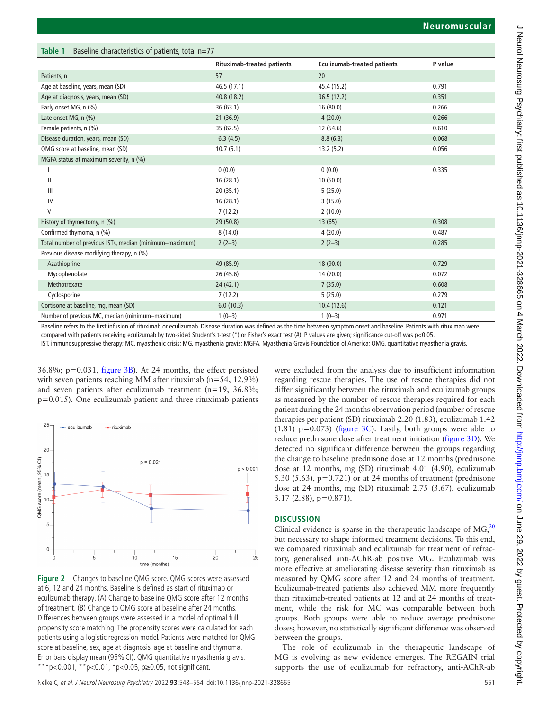<span id="page-3-0"></span>

| Baseline characteristics of patients, total $n=77$<br>Table 1 |                                   |                                    |         |  |
|---------------------------------------------------------------|-----------------------------------|------------------------------------|---------|--|
|                                                               | <b>Rituximab-treated patients</b> | <b>Eculizumab-treated patients</b> | P value |  |
| Patients, n                                                   | 57                                | 20                                 |         |  |
| Age at baseline, years, mean (SD)                             | 46.5 (17.1)                       | 45.4 (15.2)                        | 0.791   |  |
| Age at diagnosis, years, mean (SD)                            | 40.8(18.2)                        | 36.5(12.2)                         | 0.351   |  |
| Early onset MG, n (%)                                         | 36(63.1)                          | 16(80.0)                           | 0.266   |  |
| Late onset MG, n (%)                                          | 21(36.9)                          | 4(20.0)                            | 0.266   |  |
| Female patients, n (%)                                        | 35 (62.5)                         | 12 (54.6)                          | 0.610   |  |
| Disease duration, years, mean (SD)                            | 6.3(4.5)                          | 8.8(6.3)                           | 0.068   |  |
| QMG score at baseline, mean (SD)                              | 10.7(5.1)                         | 13.2(5.2)                          | 0.056   |  |
| MGFA status at maximum severity, n (%)                        |                                   |                                    |         |  |
|                                                               | 0(0.0)                            | 0(0.0)                             | 0.335   |  |
| Ш                                                             | 16(28.1)                          | 10(50.0)                           |         |  |
| $\mathbf{III}$                                                | 20(35.1)                          | 5(25.0)                            |         |  |
| IV                                                            | 16(28.1)                          | 3(15.0)                            |         |  |
| V                                                             | 7(12.2)                           | 2(10.0)                            |         |  |
| History of thymectomy, n (%)                                  | 29 (50.8)                         | 13(65)                             | 0.308   |  |
| Confirmed thymoma, n (%)                                      | 8(14.0)                           | 4(20.0)                            | 0.487   |  |
| Total number of previous ISTs, median (minimum-maximum)       | $2(2-3)$                          | $2(2-3)$                           | 0.285   |  |
| Previous disease modifying therapy, n (%)                     |                                   |                                    |         |  |
| Azathioprine                                                  | 49 (85.9)                         | 18(90.0)                           | 0.729   |  |
| Mycophenolate                                                 | 26 (45.6)                         | 14(70.0)                           | 0.072   |  |
| Methotrexate                                                  | 24(42.1)                          | 7(35.0)                            | 0.608   |  |
| Cyclosporine                                                  | 7(12.2)                           | 5(25.0)                            | 0.279   |  |
| Cortisone at baseline, mg, mean (SD)                          | 6.0(10.3)                         | 10.4(12.6)                         | 0.121   |  |
| Number of previous MC, median (minimum-maximum)               | $1(0-3)$                          | $1(0-3)$                           | 0.971   |  |

Baseline refers to the first infusion of rituximab or eculizumab. Disease duration was defined as the time between symptom onset and baseline. Patients with rituximab were compared with patients receiving eculizumab by two-sided Student's t-test (\*) or Fisher's exact test (#). P values are given; significance cut-off was p<0.05.

IST, immunosuppressive therapy; MC, myasthenic crisis; MG, myasthenia gravis; MGFA, Myasthenia Gravis Foundation of America; QMG, quantitative myasthenia gravis.

36.8%; p=0.031, [figure](#page-5-0) 3B). At 24 months, the effect persisted with seven patients reaching MM after rituximab (n=54, 12.9%) and seven patients after eculizumab treatment (n=19, 36.8%; p=0.015). One eculizumab patient and three rituximab patients



<span id="page-3-1"></span>**Figure 2** Changes to baseline QMG score. QMG scores were assessed at 6, 12 and 24 months. Baseline is defined as start of rituximab or eculizumab therapy. (A) Change to baseline QMG score after 12 months of treatment. (B) Change to QMG score at baseline after 24 months. Differences between groups were assessed in a model of optimal full propensity score matching. The propensity scores were calculated for each patients using a logistic regression model. Patients were matched for QMG score at baseline, sex, age at diagnosis, age at baseline and thymoma. Error bars display mean (95%CI). QMG quantitative myasthenia gravis. \*\*\*p<0.001, \*\*p<0.01, \*p<0.05, p $\geq$ 0.05, not significant.

were excluded from the analysis due to insufficient information regarding rescue therapies. The use of rescue therapies did not differ significantly between the rituximab and eculizumab groups as measured by the number of rescue therapies required for each patient during the 24 months observation period (number of rescue therapies per patient (SD) rituximab 2.20 (1.83), eculizumab 1.42 (1.81)  $p=0.073$ ) [\(figure](#page-5-0) 3C). Lastly, both groups were able to reduce prednisone dose after treatment initiation [\(figure](#page-5-0) 3D). We detected no significant difference between the groups regarding the change to baseline prednisone dose at 12 months (prednisone dose at 12 months, mg (SD) rituximab 4.01 (4.90), eculizumab 5.30 (5.63),  $p=0.721$ ) or at 24 months of treatment (prednisone dose at 24 months, mg (SD) rituximab 2.75 (3.67), eculizumab 3.17 (2.88), p=0.871).

# **DISCUSSION**

Clinical evidence is sparse in the therapeutic landscape of  $MG<sub>20</sub>$  $MG<sub>20</sub>$  $MG<sub>20</sub>$ <sup>20</sup> but necessary to shape informed treatment decisions. To this end, we compared rituximab and eculizumab for treatment of refractory, generalised anti-AChR-ab positive MG. Eculizumab was more effective at ameliorating disease severity than rituximab as measured by QMG score after 12 and 24 months of treatment. Eculizumab-treated patients also achieved MM more frequently than rituximab-treated patients at 12 and at 24 months of treatment, while the risk for MC was comparable between both groups. Both groups were able to reduce average prednisone doses; however, no statistically significant difference was observed between the groups.

The role of eculizumab in the therapeutic landscape of MG is evolving as new evidence emerges. The REGAIN trial supports the use of eculizumab for refractory, anti-AChR-ab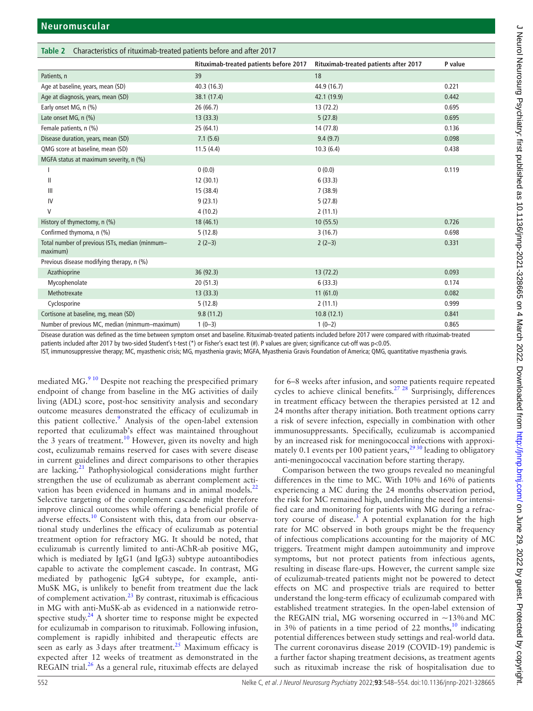<span id="page-4-0"></span>

| Table 2 Characteristics of rituximab-treated patients before and after 2017 |                                        |                                       |         |  |
|-----------------------------------------------------------------------------|----------------------------------------|---------------------------------------|---------|--|
|                                                                             | Rituximab-treated patients before 2017 | Rituximab-treated patients after 2017 | P value |  |
| Patients, n                                                                 | 39                                     | 18                                    |         |  |
| Age at baseline, years, mean (SD)                                           | 40.3(16.3)                             | 44.9 (16.7)                           | 0.221   |  |
| Age at diagnosis, years, mean (SD)                                          | 38.1 (17.4)                            | 42.1 (19.9)                           | 0.442   |  |
| Early onset MG, n (%)                                                       | 26(66.7)                               | 13(72.2)                              | 0.695   |  |
| Late onset MG, n (%)                                                        | 13(33.3)                               | 5(27.8)                               | 0.695   |  |
| Female patients, n (%)                                                      | 25(64.1)                               | 14 (77.8)                             | 0.136   |  |
| Disease duration, years, mean (SD)                                          | 7.1(5.6)                               | 9.4(9.7)                              | 0.098   |  |
| QMG score at baseline, mean (SD)                                            | 11.5(4.4)                              | 10.3(6.4)                             | 0.438   |  |
| MGFA status at maximum severity, n (%)                                      |                                        |                                       |         |  |
|                                                                             | 0(0.0)                                 | 0(0.0)                                | 0.119   |  |
| Ш                                                                           | 12(30.1)                               | 6(33.3)                               |         |  |
| Ш                                                                           | 15 (38.4)                              | 7(38.9)                               |         |  |
| IV                                                                          | 9(23.1)                                | 5(27.8)                               |         |  |
| V                                                                           | 4(10.2)                                | 2(11.1)                               |         |  |
| History of thymectomy, n (%)                                                | 18(46.1)                               | 10(55.5)                              | 0.726   |  |
| Confirmed thymoma, n (%)                                                    | 5(12.8)                                | 3(16.7)                               | 0.698   |  |
| Total number of previous ISTs, median (minmum-<br>maximum)                  | $2(2-3)$                               | $2(2-3)$                              | 0.331   |  |
| Previous disease modifying therapy, n (%)                                   |                                        |                                       |         |  |
| Azathioprine                                                                | 36(92.3)                               | 13(72.2)                              | 0.093   |  |
| Mycophenolate                                                               | 20(51.3)                               | 6(33.3)                               | 0.174   |  |
| Methotrexate                                                                | 13(33.3)                               | 11(61.0)                              | 0.082   |  |
| Cyclosporine                                                                | 5(12.8)                                | 2(11.1)                               | 0.999   |  |
| Cortisone at baseline, mg, mean (SD)                                        | 9.8(11.2)                              | 10.8(12.1)                            | 0.841   |  |
| Number of previous MC, median (minmum-maximum)                              | $1(0-3)$                               | $1(0-2)$                              | 0.865   |  |

Disease duration was defined as the time between symptom onset and baseline. Rituximab-treated patients included before 2017 were compared with rituximab-treated

patients included after 2017 by two-sided Student's t-test (\*) or Fisher's exact test (#). P values are given; significance cut-off was p<0.05. IST, immunosuppressive therapy; MC, myasthenic crisis; MG, myasthenia gravis; MGFA, Myasthenia Gravis Foundation of America; QMG, quantitative myasthenia gravis.

mediated  $MG<sub>2</sub><sup>910</sup>$  Despite not reaching the prespecified primary endpoint of change from baseline in the MG activities of daily living (ADL) score, post-hoc sensitivity analysis and secondary outcome measures demonstrated the efficacy of eculizumab in this patient collective.<sup>9</sup> Analysis of the open-label extension reported that eculizumab's effect was maintained throughout the 3 years of treatment.<sup>10</sup> However, given its novelty and high cost, eculizumab remains reserved for cases with severe disease in current guidelines and direct comparisons to other therapies are lacking. $21$  Pathophysiological considerations might further strengthen the use of eculizumab as aberrant complement activation has been evidenced in humans and in animal models.<sup>22</sup> Selective targeting of the complement cascade might therefore improve clinical outcomes while offering a beneficial profile of adverse effects[.10](#page-6-17) Consistent with this, data from our observational study underlines the efficacy of eculizumab as potential treatment option for refractory MG. It should be noted, that eculizumab is currently limited to anti-AChR-ab positive MG, which is mediated by IgG1 (and IgG3) subtype autoantibodies capable to activate the complement cascade. In contrast, MG mediated by pathogenic IgG4 subtype, for example, anti-MuSK MG, is unlikely to benefit from treatment due the lack of complement activation.[23](#page-6-20) By contrast, rituximab is efficacious in MG with anti-MuSK-ab as evidenced in a nationwide retrospective study. $^{24}$  A shorter time to response might be expected for eculizumab in comparison to rituximab. Following infusion, complement is rapidly inhibited and therapeutic effects are seen as early as  $3 \text{ days}$  after treatment.<sup>[25](#page-6-22)</sup> Maximum efficacy is expected after 12 weeks of treatment as demonstrated in the REGAIN trial.<sup>26</sup> As a general rule, rituximab effects are delayed

for 6–8 weeks after infusion, and some patients require repeated cycles to achieve clinical benefits.<sup>27</sup>  $^{28}$  Surprisingly, differences in treatment efficacy between the therapies persisted at 12 and 24 months after therapy initiation. Both treatment options carry a risk of severe infection, especially in combination with other immunosuppressants. Specifically, eculizumab is accompanied by an increased risk for meningococcal infections with approximately 0.1 events per 100 patient years,<sup>2930</sup> leading to obligatory anti-meningococcal vaccination before starting therapy.

Comparison between the two groups revealed no meaningful differences in the time to MC. With 10% and 16% of patients experiencing a MC during the 24 months observation period, the risk for MC remained high, underlining the need for intensified care and monitoring for patients with MG during a refrac-tory course of disease.<sup>[3](#page-6-2)</sup> A potential explanation for the high rate for MC observed in both groups might be the frequency of infectious complications accounting for the majority of MC triggers. Treatment might dampen autoimmunity and improve symptoms, but not protect patients from infectious agents, resulting in disease flare-ups. However, the current sample size of eculizumab-treated patients might not be powered to detect effects on MC and prospective trials are required to better understand the long-term efficacy of eculizumab compared with established treatment strategies. In the open-label extension of the REGAIN trial, MG worsening occurred in ~13%and MC in 3% of patients in a time period of 22 months, $\frac{10}{10}$  indicating potential differences between study settings and real-world data. The current coronavirus disease 2019 (COVID-19) pandemic is a further factor shaping treatment decisions, as treatment agents such as rituximab increase the risk of hospitalisation due to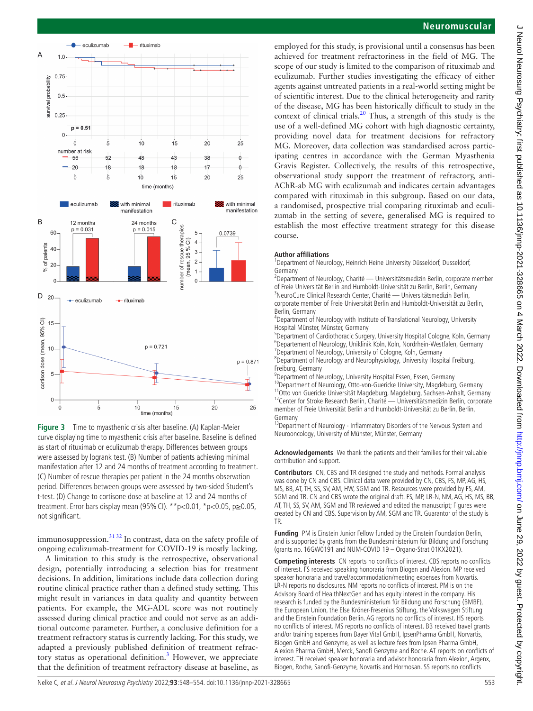

<span id="page-5-0"></span>**Figure 3** Time to myasthenic crisis after baseline. (A) Kaplan-Meier curve displaying time to myasthenic crisis after baseline. Baseline is defined as start of rituximab or eculizumab therapy. Differences between groups were assessed by logrank test. (B) Number of patients achieving minimal manifestation after 12 and 24 months of treatment according to treatment. (C) Number of rescue therapies per patient in the 24 months observation period. Differences between groups were assessed by two-sided Student's t-test. (D) Change to cortisone dose at baseline at 12 and 24 months of treatment. Error bars display mean (95%CI). \*\*p<0.01, \*p<0.05, p≥0.05, not significant.

immunosuppression. $3132$  In contrast, data on the safety profile of ongoing eculizumab-treatment for COVID-19 is mostly lacking.

A limitation to this study is the retrospective, observational design, potentially introducing a selection bias for treatment decisions. In addition, limitations include data collection during routine clinical practice rather than a defined study setting. This might result in variances in data quality and quantity between patients. For example, the MG-ADL score was not routinely assessed during clinical practice and could not serve as an additional outcome parameter. Further, a conclusive definition for a treatment refractory status is currently lacking. For this study, we adapted a previously published definition of treatment refrac-tory status as operational definition.<sup>[3](#page-6-2)</sup> However, we appreciate that the definition of treatment refractory disease at baseline, as

## **Neuromuscular**

employed for this study, is provisional until a consensus has been achieved for treatment refractoriness in the field of MG. The scope of our study is limited to the comparison of rituximab and eculizumab. Further studies investigating the efficacy of either agents against untreated patients in a real-world setting might be of scientific interest. Due to the clinical heterogeneity and rarity of the disease, MG has been historically difficult to study in the context of clinical trials.<sup>[20](#page-6-16)</sup> Thus, a strength of this study is the use of a well-defined MG cohort with high diagnostic certainty, providing novel data for treatment decisions for refractory MG. Moreover, data collection was standardised across participating centres in accordance with the German Myasthenia Gravis Register. Collectively, the results of this retrospective, observational study support the treatment of refractory, anti-AChR-ab MG with eculizumab and indicates certain advantages compared with rituximab in this subgroup. Based on our data, a randomised, prospective trial comparing rituximab and eculizumab in the setting of severe, generalised MG is required to establish the most effective treatment strategy for this disease course.

#### **Author affiliations**

<sup>1</sup>Department of Neurology, Heinrich Heine University Düsseldorf, Dusseldorf, Germany

<sup>2</sup>Department of Neurology, Charité — Universitätsmedizin Berlin, corporate member of Freie Universität Berlin and Humboldt-Universität zu Berlin, Berlin, Germany <sup>3</sup> <sup>3</sup>NeuroCure Clinical Research Center, Charité — Universitätsmedizin Berlin, corporate member of Freie Universität Berlin and Humboldt-Universität zu Berlin, Berlin, Germany

4 Department of Neurology with Institute of Translational Neurology, University Hospital Münster, Münster, Germany

<sup>5</sup>Department of Cardiothoracic Surgery, University Hospital Cologne, Koln, Germany <sup>6</sup>Departement of Neurology, Uniklinik Koln, Koln, Nordrhein-Westfalen, Germany<br><sup>7</sup>Department of Neurology, University of Cologne, Koln, Germany <sup>7</sup>Department of Neurology, University of Cologne, Koln, Germany

8 Department of Neurology and Neurophysiology, University Hospital Freiburg, Freiburg, Germany

9 Department of Neurology, University Hospital Essen, Essen, Germany

<sup>10</sup>Department of Neurology, Otto-von-Guericke University, Magdeburg, Germany<br><sup>11</sup>Otto von Guericke Universität Magdeburg, Magdeburg, Sachsen-Anhalt, Germany<br><sup>12</sup>Center for Stroke Research Berlin, Charité — Universitätsme member of Freie Universität Berlin and Humboldt-Universität zu Berlin, Berlin, Germany

<sup>13</sup>Department of Neurology - Inflammatory Disorders of the Nervous System and Neurooncology, University of Münster, Münster, Germany

**Acknowledgements** We thank the patients and their families for their valuable contribution and support.

**Contributors** CN, CBS and TR designed the study and methods. Formal analysis was done by CN and CBS. Clinical data were provided by CN, CBS, FS, MP, AG, HS, MS, BB, AT, TH, SS, SV, AM, HW, SGM and TR. Resources were provided by FS, AM, SGM and TR. CN and CBS wrote the original draft. FS, MP, LR-N, NM, AG, HS, MS, BB, AT, TH, SS, SV, AM, SGM and TR reviewed and edited the manuscript; Figures were created by CN and CBS. Supervision by AM, SGM and TR. Guarantor of the study is TR.

**Funding** PM is Einstein Junior Fellow funded by the Einstein Foundation Berlin, and is supported by grants from the Bundesministerium für Bildung und Forschung (grants no. 16GW0191 and NUM-COVID 19 – Organo-Strat 01KX2021).

**Competing interests** CN reports no conflicts of interest. CBS reports no conflicts of interest. FS received speaking honoraria from Biogen and Alexion. MP received speaker honoraria and travel/accommodation/meeting expenses from Novartis. LR-N reports no disclosures. NM reports no conflicts of interest. PM is on the Advisory Board of HealthNextGen and has equity interest in the company. His research is funded by the Bundesministerium für Bildung und Forschung (BMBF), the European Union, the Else Kröner-Fresenius Stiftung, the Volkswagen Stiftung and the Einstein Foundation Berlin. AG reports no conflicts of interest. HS reports no conflicts of interest. MS reports no conflicts of interest. BB received travel grants and/or training expenses from Bayer Vital GmbH, IpsenPharma GmbH, Norvartis, Biogen GmbH and Genzyme, as well as lecture fees from Ipsen Pharma GmbH, Alexion Pharma GmbH, Merck, Sanofi Genzyme and Roche. AT reports on conflicts of interest. TH received speaker honoraria and advisor honoraria from Alexion, Argenx, Biogen, Roche, Sanofi-Genzyme, Novartis and Hormosan. SS reports no conflicts